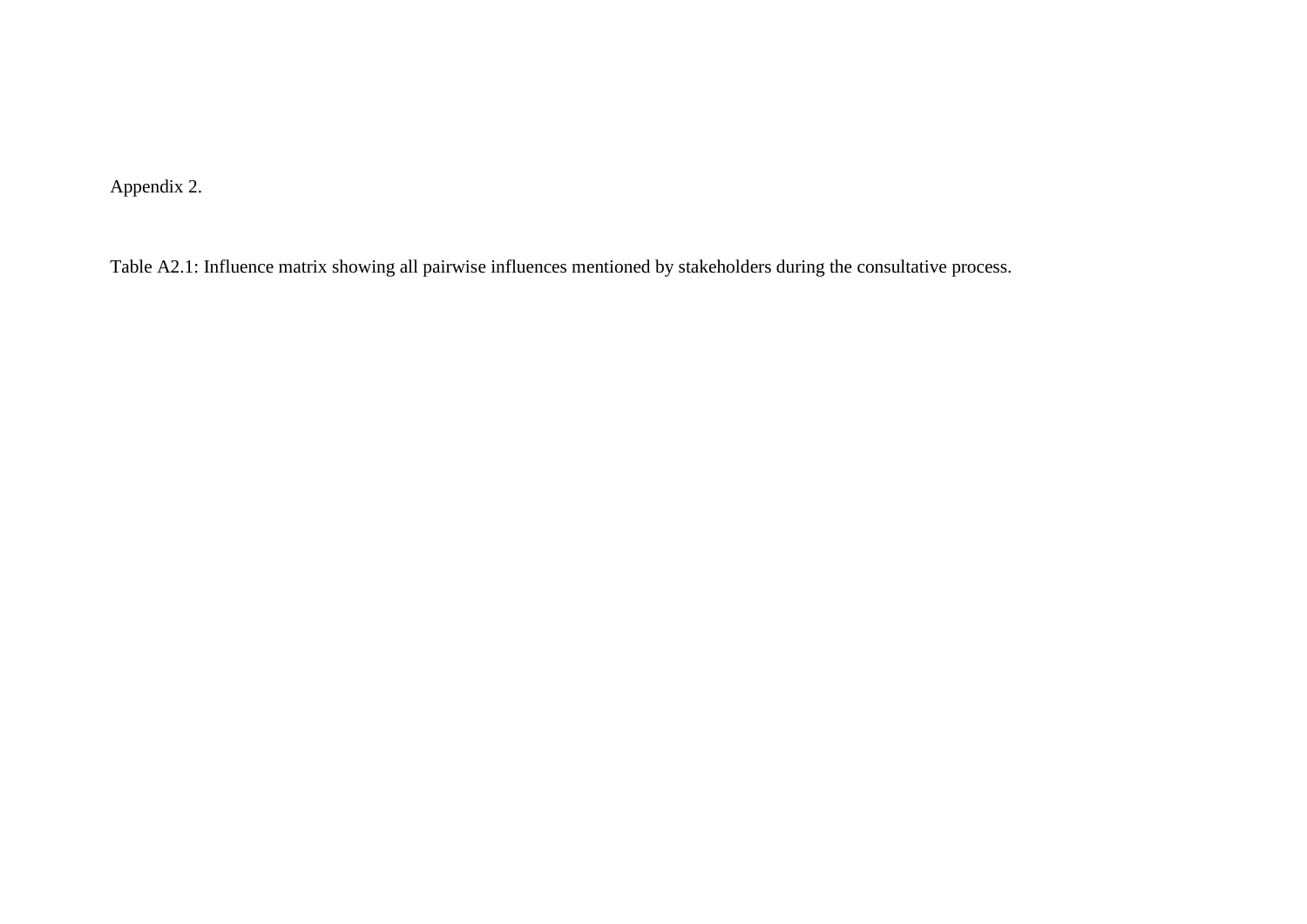Appendix 2.

Table A2.1: Influence matrix showing all pairwise influences mentioned by stakeholders during the consultative process.